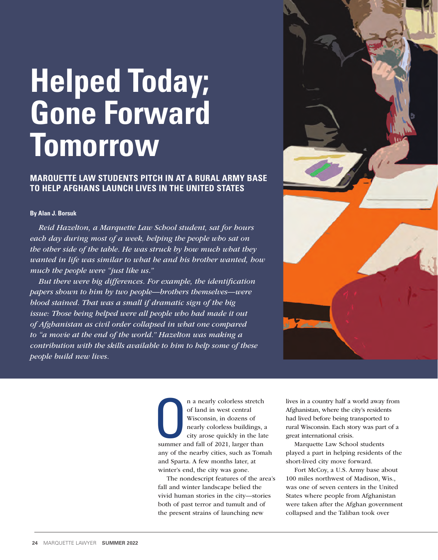## **Helped Today; Gone Forward Tomorrow**

## **MARQUETTE LAW STUDENTS PITCH IN AT A RURAL ARMY BASE TO HELP AFGHANS LAUNCH LIVES IN THE UNITED STATES**

## **By Alan J. Borsuk**

*Reid Hazelton, a Marquette Law School student, sat for hours each day during most of a week, helping the people who sat on the other side of the table. He was struck by how much what they wanted in life was similar to what he and his brother wanted, how much the people were "just like us."*

*But there were big differences. For example, the identification papers shown to him by two people—brothers themselves—were blood stained. That was a small if dramatic sign of the big issue: Those being helped were all people who had made it out of Afghanistan as civil order collapsed in what one compared to "a movie at the end of the world." Hazelton was making a contribution with the skills available to him to help some of these people build new lives.*



Summer a n a nearly colorless stretch of land in west central Wisconsin, in dozens of nearly colorless buildings, a city arose quickly in the late summer and fall of 2021, larger than any of the nearby cities, such as Tomah and Sparta. A few months later, at winter's end, the city was gone.

The nondescript features of the area's fall and winter landscape belied the vivid human stories in the city—stories both of past terror and tumult and of the present strains of launching new

lives in a country half a world away from Afghanistan, where the city's residents had lived before being transported to rural Wisconsin. Each story was part of a great international crisis.

Marquette Law School students played a part in helping residents of the short-lived city move forward.

Fort McCoy, a U.S. Army base about 100 miles northwest of Madison, Wis., was one of seven centers in the United States where people from Afghanistan were taken after the Afghan government collapsed and the Taliban took over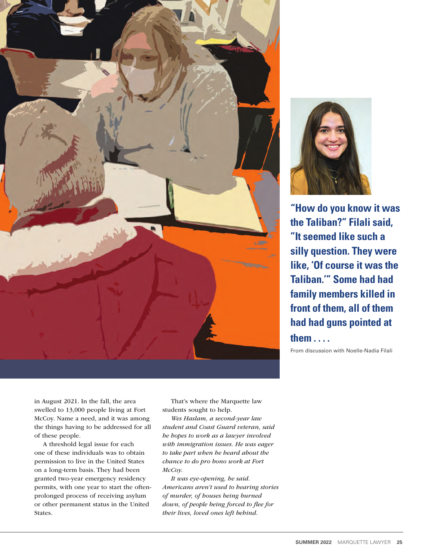



**"How do you know it was the Taliban?" Filali said, "It seemed like such a silly question. They were like, 'Of course it was the Taliban.'" Some had had family members killed in front of them, all of them had had guns pointed at** 

**them . . . .**

From discussion with Noelle-Nadia Filali

in August 2021. In the fall, the area swelled to 13,000 people living at Fort McCoy. Name a need, and it was among the things having to be addressed for all of these people.

A threshold legal issue for each one of these individuals was to obtain permission to live in the United States on a long-term basis. They had been granted two-year emergency residency permits, with one year to start the oftenprolonged process of receiving asylum or other permanent status in the United States.

That's where the Marquette law students sought to help.

*Wes Haslam, a second-year law student and Coast Guard veteran, said he hopes to work as a lawyer involved with immigration issues. He was eager to take part when he heard about the chance to do pro bono work at Fort McCoy.* 

*It was eye-opening, he said. Americans aren't used to hearing stories of murder, of houses being burned down, of people being forced to flee for their lives, loved ones left behind.*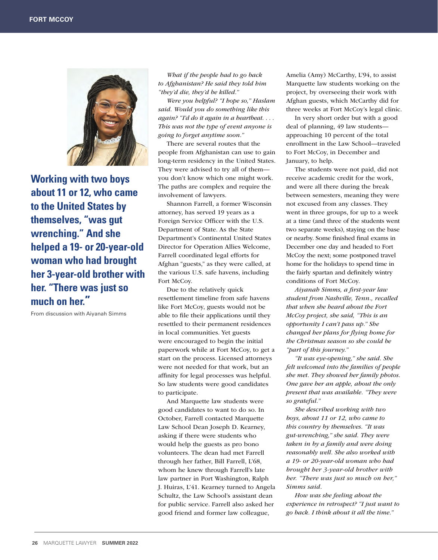

**Working with two boys about 11 or 12, who came to the United States by themselves, "was gut wrenching." And she helped a 19- or 20-year-old woman who had brought her 3-year-old brother with her. "There was just so much on her."** 

From discussion with Aiyanah Simms

*What if the people had to go back to Afghanistan? He said they told him "they'd die, they'd be killed."* 

*Were you helpful? "I hope so," Haslam said. Would you do something like this again? "I'd do it again in a heartbeat. . . . This was not the type of event anyone is going to forget anytime soon."*

There are several routes that the people from Afghanistan can use to gain long-term residency in the United States. They were advised to try all of them you don't know which one might work. The paths are complex and require the involvement of lawyers.

Shannon Farrell, a former Wisconsin attorney, has served 19 years as a Foreign Service Officer with the U.S. Department of State. As the State Department's Continental United States Director for Operation Allies Welcome, Farrell coordinated legal efforts for Afghan "guests," as they were called, at the various U.S. safe havens, including Fort McCoy.

Due to the relatively quick resettlement timeline from safe havens like Fort McCoy, guests would not be able to file their applications until they resettled to their permanent residences in local communities. Yet guests were encouraged to begin the initial paperwork while at Fort McCoy, to get a start on the process. Licensed attorneys were not needed for that work, but an affinity for legal processes was helpful. So law students were good candidates to participate.

And Marquette law students were good candidates to want to do so. In October, Farrell contacted Marquette Law School Dean Joseph D. Kearney, asking if there were students who would help the guests as pro bono volunteers. The dean had met Farrell through her father, Bill Farrell, L'68, whom he knew through Farrell's late law partner in Port Washington, Ralph J. Huiras, L'41. Kearney turned to Angela Schultz, the Law School's assistant dean for public service. Farrell also asked her good friend and former law colleague,

Amelia (Amy) McCarthy, L'94, to assist Marquette law students working on the project, by overseeing their work with Afghan guests, which McCarthy did for three weeks at Fort McCoy's legal clinic.

In very short order but with a good deal of planning, 49 law students approaching 10 percent of the total enrollment in the Law School—traveled to Fort McCoy, in December and January, to help.

The students were not paid, did not receive academic credit for the work, and were all there during the break between semesters, meaning they were not excused from any classes. They went in three groups, for up to a week at a time (and three of the students went two separate weeks), staying on the base or nearby. Some finished final exams in December one day and headed to Fort McCoy the next; some postponed travel home for the holidays to spend time in the fairly spartan and definitely wintry conditions of Fort McCoy.

*Aiyanah Simms, a first-year law student from Nashville, Tenn., recalled that when she heard about the Fort McCoy project, she said, "This is an opportunity I can't pass up." She changed her plans for flying home for the Christmas season so she could be "part of this journey."*

*"It was eye-opening," she said. She felt welcomed into the families of people she met. They showed her family photos. One gave her an apple, about the only present that was available. "They were so grateful."*

*She described working with two boys, about 11 or 12, who came to this country by themselves. "It was gut-wrenching," she said. They were taken in by a family and were doing reasonably well. She also worked with a 19- or 20-year-old woman who had brought her 3-year-old brother with her. "There was just so much on her," Simms said.*

*How was she feeling about the experience in retrospect? "I just want to go back. I think about it all the time."*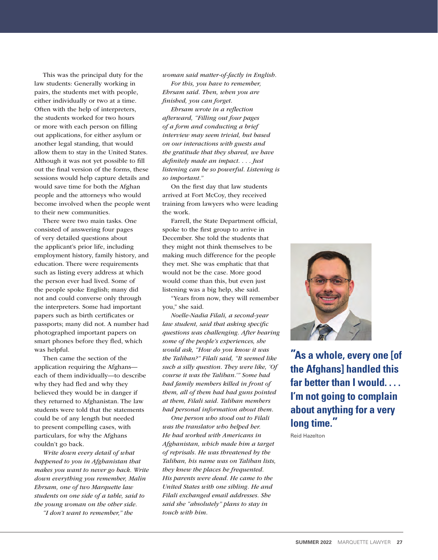This was the principal duty for the law students: Generally working in pairs, the students met with people, either individually or two at a time. Often with the help of interpreters, the students worked for two hours or more with each person on filling out applications, for either asylum or another legal standing, that would allow them to stay in the United States. Although it was not yet possible to fill out the final version of the forms, these sessions would help capture details and would save time for both the Afghan people and the attorneys who would become involved when the people went to their new communities.

There were two main tasks. One consisted of answering four pages of very detailed questions about the applicant's prior life, including employment history, family history, and education. There were requirements such as listing every address at which the person ever had lived. Some of the people spoke English; many did not and could converse only through the interpreters. Some had important papers such as birth certificates or passports; many did not. A number had photographed important papers on smart phones before they fled, which was helpful.

Then came the section of the application requiring the Afghans each of them individually—to describe why they had fled and why they believed they would be in danger if they returned to Afghanistan. The law students were told that the statements could be of any length but needed to present compelling cases, with particulars, for why the Afghans couldn't go back.

*Write down every detail of what happened to you in Afghanistan that makes you want to never go back. Write down everything you remember, Malin Ehrsam, one of two Marquette law students on one side of a table, said to the young woman on the other side.* 

*"I don't want to remember," the* 

*woman said matter-of-factly in English. For this, you have to remember, Ehrsam said. Then, when you are finished, you can forget.* 

*Ehrsam wrote in a reflection afterward, "Filling out four pages of a form and conducting a brief interview may seem trivial, but based on our interactions with guests and the gratitude that they shared, we have definitely made an impact. . . . Just listening can be so powerful. Listening is so important."* 

On the first day that law students arrived at Fort McCoy, they received training from lawyers who were leading the work.

Farrell, the State Department official, spoke to the first group to arrive in December. She told the students that they might not think themselves to be making much difference for the people they met. She was emphatic that that would not be the case. More good would come than this, but even just listening was a big help, she said.

"Years from now, they will remember you," she said.

*Noelle-Nadia Filali, a second-year law student, said that asking specific questions was challenging. After hearing some of the people's experiences, she would ask, "How do you know it was the Taliban?" Filali said, "It seemed like such a silly question. They were like, 'Of course it was the Taliban.'" Some had had family members killed in front of them, all of them had had guns pointed at them, Filali said. Taliban members had personal information about them.* 

*One person who stood out to Filali was the translator who helped her. He had worked with Americans in Afghanistan, which made him a target of reprisals. He was threatened by the Taliban, his name was on Taliban lists, they knew the places he frequented. His parents were dead. He came to the United States with one sibling. He and Filali exchanged email addresses. She said she "absolutely" plans to stay in touch with him.* 



**"As a whole, every one [of the Afghans] handled this far better than I would. . . . I'm not going to complain about anything for a very long time."** 

Reid Hazelton